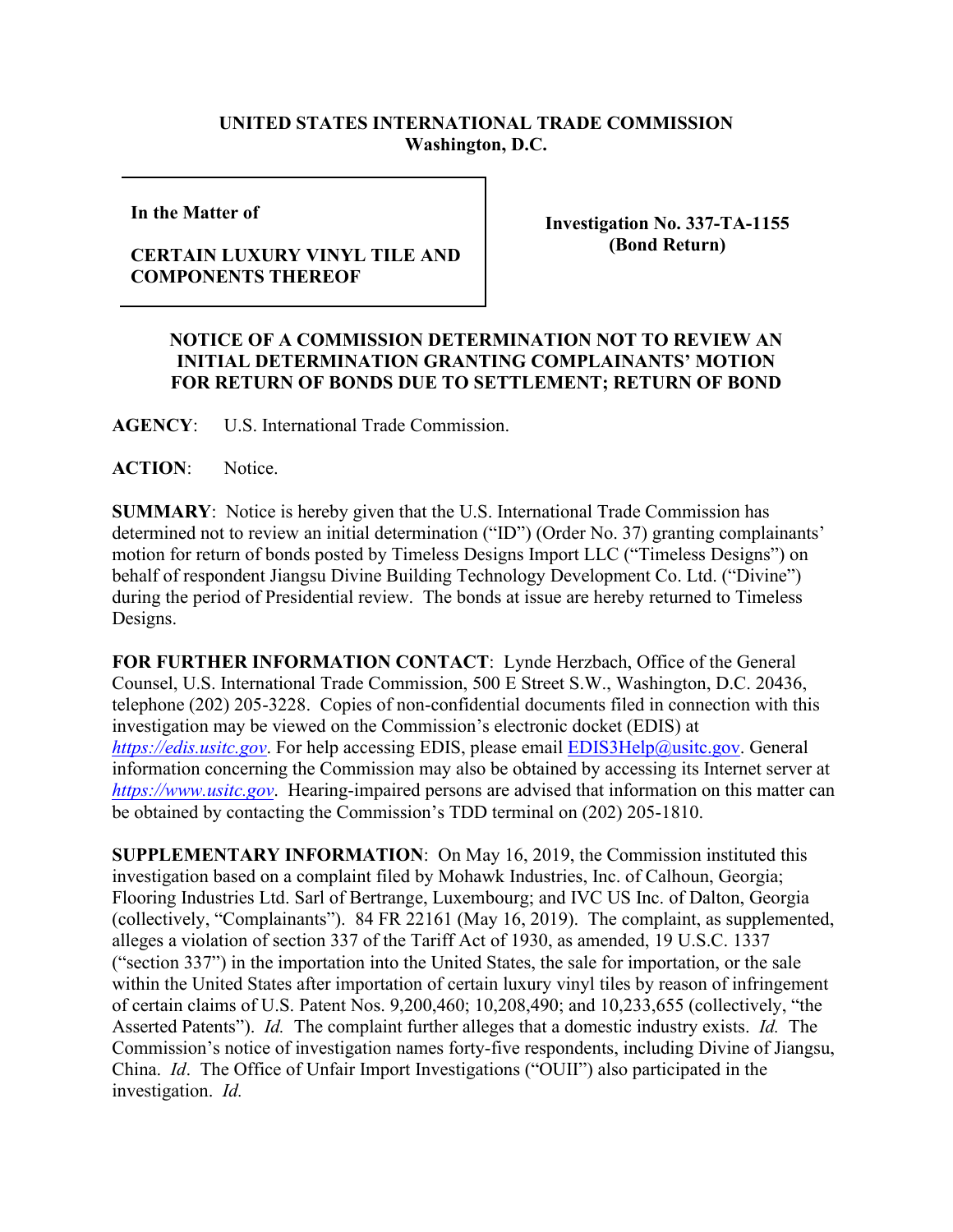## **UNITED STATES INTERNATIONAL TRADE COMMISSION Washington, D.C.**

**In the Matter of** 

**CERTAIN LUXURY VINYL TILE AND COMPONENTS THEREOF**

**Investigation No. 337-TA-1155 (Bond Return)**

## **NOTICE OF A COMMISSION DETERMINATION NOT TO REVIEW AN INITIAL DETERMINATION GRANTING COMPLAINANTS' MOTION FOR RETURN OF BONDS DUE TO SETTLEMENT; RETURN OF BOND**

**AGENCY**: U.S. International Trade Commission.

**ACTION**: Notice.

**SUMMARY**: Notice is hereby given that the U.S. International Trade Commission has determined not to review an initial determination ("ID") (Order No. 37) granting complainants' motion for return of bonds posted by Timeless Designs Import LLC ("Timeless Designs") on behalf of respondent Jiangsu Divine Building Technology Development Co. Ltd. ("Divine") during the period of Presidential review. The bonds at issue are hereby returned to Timeless Designs.

**FOR FURTHER INFORMATION CONTACT**: Lynde Herzbach, Office of the General Counsel, U.S. International Trade Commission, 500 E Street S.W., Washington, D.C. 20436, telephone (202) 205-3228. Copies of non-confidential documents filed in connection with this investigation may be viewed on the Commission's electronic docket (EDIS) at *[https://edis.usitc.gov](https://edis.usitc.gov/)*. For help accessing EDIS, please email [EDIS3Help@usitc.gov.](mailto:EDIS3Help@usitc.gov) General information concerning the Commission may also be obtained by accessing its Internet server at *[https://www.usitc.gov](https://www.usitc.gov/)*. Hearing-impaired persons are advised that information on this matter can be obtained by contacting the Commission's TDD terminal on (202) 205-1810.

**SUPPLEMENTARY INFORMATION**: On May 16, 2019, the Commission instituted this investigation based on a complaint filed by Mohawk Industries, Inc. of Calhoun, Georgia; Flooring Industries Ltd. Sarl of Bertrange, Luxembourg; and IVC US Inc. of Dalton, Georgia (collectively, "Complainants"). 84 FR 22161 (May 16, 2019). The complaint, as supplemented, alleges a violation of section 337 of the Tariff Act of 1930, as amended, 19 U.S.C. 1337 ("section 337") in the importation into the United States, the sale for importation, or the sale within the United States after importation of certain luxury vinyl tiles by reason of infringement of certain claims of U.S. Patent Nos. 9,200,460; 10,208,490; and 10,233,655 (collectively, "the Asserted Patents"). *Id.* The complaint further alleges that a domestic industry exists. *Id.* The Commission's notice of investigation names forty-five respondents, including Divine of Jiangsu, China. *Id*. The Office of Unfair Import Investigations ("OUII") also participated in the investigation. *Id.*